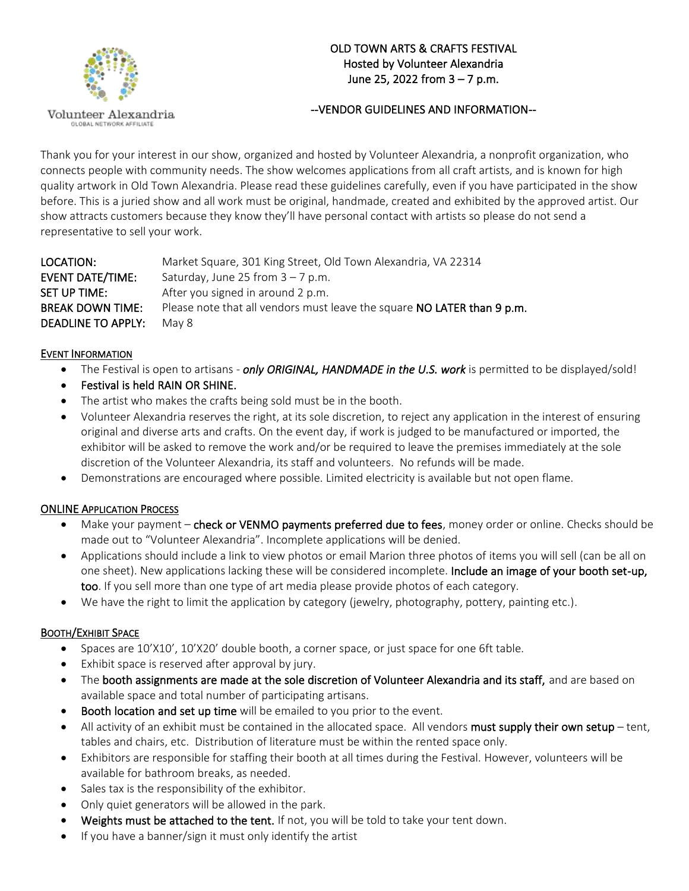

Volunteer Alexandria GLOBAL NETWORK AFFILIATE

# OLD TOWN ARTS & CRAFTS FESTIVAL Hosted by Volunteer Alexandria June 25, 2022 from 3 – 7 p.m.

# --VENDOR GUIDELINES AND INFORMATION--

Thank you for your interest in our show, organized and hosted by Volunteer Alexandria, a nonprofit organization, who connects people with community needs. The show welcomes applications from all craft artists, and is known for high quality artwork in Old Town Alexandria. Please read these guidelines carefully, even if you have participated in the show before. This is a juried show and all work must be original, handmade, created and exhibited by the approved artist. Our show attracts customers because they know they'll have personal contact with artists so please do not send a representative to sell your work.

| LOCATION:                 | Market Square, 301 King Street, Old Town Alexandria, VA 22314           |
|---------------------------|-------------------------------------------------------------------------|
| <b>EVENT DATE/TIME:</b>   | Saturday, June 25 from $3 - 7$ p.m.                                     |
| SET UP TIME:              | After you signed in around 2 p.m.                                       |
| <b>BREAK DOWN TIME:</b>   | Please note that all vendors must leave the square NO LATER than 9 p.m. |
| <b>DEADLINE TO APPLY:</b> | May 8                                                                   |

### EVENT INFORMATION

- The Festival is open to artisans *only ORIGINAL, HANDMADE in the U.S. work* is permitted to be displayed/sold!
- Festival is held RAIN OR SHINE.
- The artist who makes the crafts being sold must be in the booth.
- Volunteer Alexandria reserves the right, at its sole discretion, to reject any application in the interest of ensuring original and diverse arts and crafts. On the event day, if work is judged to be manufactured or imported, the exhibitor will be asked to remove the work and/or be required to leave the premises immediately at the sole discretion of the Volunteer Alexandria, its staff and volunteers. No refunds will be made.
- Demonstrations are encouraged where possible. Limited electricity is available but not open flame.

### ONLINE APPLICATION PROCESS

- Make your payment check or VENMO payments preferred due to fees, money order or online. Checks should be made out to "Volunteer Alexandria". Incomplete applications will be denied.
- Applications should include a link to view photos or email Marion three photos of items you will sell (can be all on one sheet). New applications lacking these will be considered incomplete. Include an image of your booth set-up, too. If you sell more than one type of art media please provide photos of each category.
- We have the right to limit the application by category (jewelry, photography, pottery, painting etc.).

### BOOTH/EXHIBIT SPACE

- Spaces are 10'X10', 10'X20' double booth, a corner space, or just space for one 6ft table.
- Exhibit space is reserved after approval by jury.
- The booth assignments are made at the sole discretion of Volunteer Alexandria and its staff, and are based on available space and total number of participating artisans.
- Booth location and set up time will be emailed to you prior to the event.
- All activity of an exhibit must be contained in the allocated space. All vendors must supply their own setup tent, tables and chairs, etc. Distribution of literature must be within the rented space only.
- Exhibitors are responsible for staffing their booth at all times during the Festival. However, volunteers will be available for bathroom breaks, as needed.
- Sales tax is the responsibility of the exhibitor.
- Only quiet generators will be allowed in the park.
- Weights must be attached to the tent. If not, you will be told to take your tent down.
- If you have a banner/sign it must only identify the artist